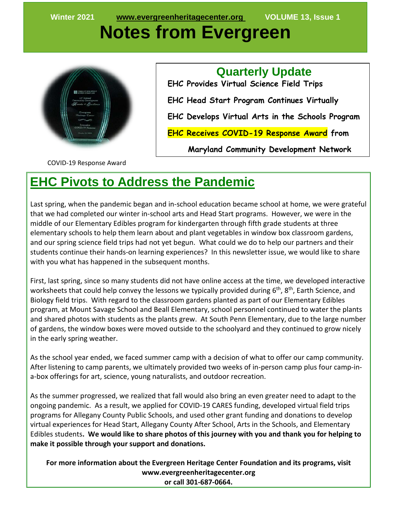# **Notes from Evergreen**



 **Quarterly Update EHC Provides Virtual Science Field Trips EHC Head Start Program Continues Virtually EHC Develops Virtual Arts in the Schools Program EHC Receives COVID-19 Response Award from** 

 **Maryland Community Development Network**

COVID-19 Response Award

#### **EHC Pivots to Address the Pandemic**

Last spring, when the pandemic began and in-school education became school at home, we were grateful that we had completed our winter in-school arts and Head Start programs. However, we were in the middle of our Elementary Edibles program for kindergarten through fifth grade students at three elementary schools to help them learn about and plant vegetables in window box classroom gardens, and our spring science field trips had not yet begun. What could we do to help our partners and their students continue their hands-on learning experiences? In this newsletter issue, we would like to share with you what has happened in the subsequent months.

First, last spring, since so many students did not have online access at the time, we developed interactive worksheets that could help convey the lessons we typically provided during 6<sup>th</sup>, 8<sup>th</sup>, Earth Science, and Biology field trips. With regard to the classroom gardens planted as part of our Elementary Edibles program, at Mount Savage School and Beall Elementary, school personnel continued to water the plants and shared photos with students as the plants grew. At South Penn Elementary, due to the large number of gardens, the window boxes were moved outside to the schoolyard and they continued to grow nicely in the early spring weather.

As the school year ended, we faced summer camp with a decision of what to offer our camp community. After listening to camp parents, we ultimately provided two weeks of in-person camp plus four camp-ina-box offerings for art, science, young naturalists, and outdoor recreation.

As the summer progressed, we realized that fall would also bring an even greater need to adapt to the ongoing pandemic. As a result, we applied for COVID-19 CARES funding, developed virtual field trips programs for Allegany County Public Schools, and used other grant funding and donations to develop virtual experiences for Head Start, Allegany County After School, Arts in the Schools, and Elementary Edibles students**. We would like to share photos of this journey with you and thank you for helping to make it possible through your support and donations.**

**For more information about the Evergreen Heritage Center Foundation and its programs, visit www.evergreenheritagecenter.org or call 301-687-0664.**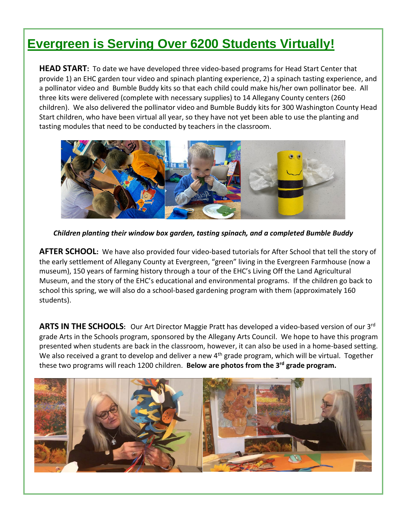# **Evergreen is Serving Over 6200 Students Virtually!**

**HEAD START:** To date we have developed three video-based programs for Head Start Center that provide 1) an EHC garden tour video and spinach planting experience, 2) a spinach tasting experience, and a pollinator video and Bumble Buddy kits so that each child could make his/her own pollinator bee. All three kits were delivered (complete with necessary supplies) to 14 Allegany County centers (260 children). We also delivered the pollinator video and Bumble Buddy kits for 300 Washington County Head Start children, who have been virtual all year, so they have not yet been able to use the planting and tasting modules that need to be conducted by teachers in the classroom.



*Children planting their window box garden, tasting spinach, and a completed Bumble Buddy*

**AFTER SCHOOL:** We have also provided four video-based tutorials for After School that tell the story of the early settlement of Allegany County at Evergreen, "green" living in the Evergreen Farmhouse (now a museum), 150 years of farming history through a tour of the EHC's Living Off the Land Agricultural Museum, and the story of the EHC's educational and environmental programs. If the children go back to school this spring, we will also do a school-based gardening program with them (approximately 160 students).

**ARTS IN THE SCHOOLS:** Our Art Director Maggie Pratt has developed a video-based version of our 3rd grade Arts in the Schools program, sponsored by the Allegany Arts Council. We hope to have this program presented when students are back in the classroom, however, it can also be used in a home-based setting. We also received a grant to develop and deliver a new  $4<sup>th</sup>$  grade program, which will be virtual. Together these two programs will reach 1200 children. **Below are photos from the 3rd grade program.**

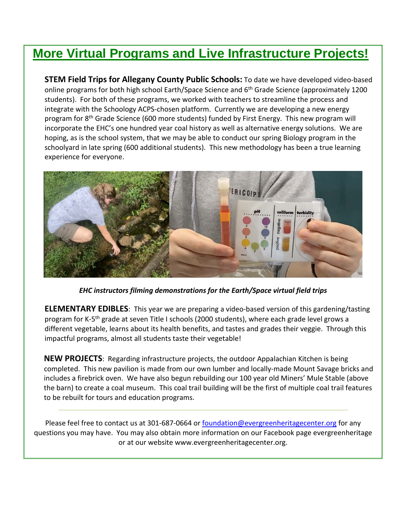# **More Virtual Programs and Live Infrastructure Projects!**

**STEM Field Trips for Allegany County Public Schools:** To date we have developed video-based online programs for both high school Earth/Space Science and 6th Grade Science (approximately 1200 students). For both of these programs, we worked with teachers to streamline the process and integrate with the Schoology ACPS-chosen platform. Currently we are developing a new energy program for 8th Grade Science (600 more students) funded by First Energy. This new program will incorporate the EHC's one hundred year coal history as well as alternative energy solutions. We are hoping, as is the school system, that we may be able to conduct our spring Biology program in the schoolyard in late spring (600 additional students). This new methodology has been a true learning experience for everyone.



*EHC instructors filming demonstrations for the Earth/Space virtual field trips*

**ELEMENTARY EDIBLES**: This year we are preparing a video-based version of this gardening/tasting program for K-5<sup>th</sup> grade at seven Title I schools (2000 students), where each grade level grows a different vegetable, learns about its health benefits, and tastes and grades their veggie. Through this impactful programs, almost all students taste their vegetable!

**NEW PROJECTS**: Regarding infrastructure projects, the outdoor Appalachian Kitchen is being completed. This new pavilion is made from our own lumber and locally-made Mount Savage bricks and includes a firebrick oven. We have also begun rebuilding our 100 year old Miners' Mule Stable (above the barn) to create a coal museum. This coal trail building will be the first of multiple coal trail features to be rebuilt for tours and education programs.

Please feel free to contact us at 301-687-0664 or <u>foundation@evergreenheritagecenter.org</u> for any questions you may have. You may also obtain more information on our Facebook page evergreenheritage or at our website www.evergreenheritagecenter.org.